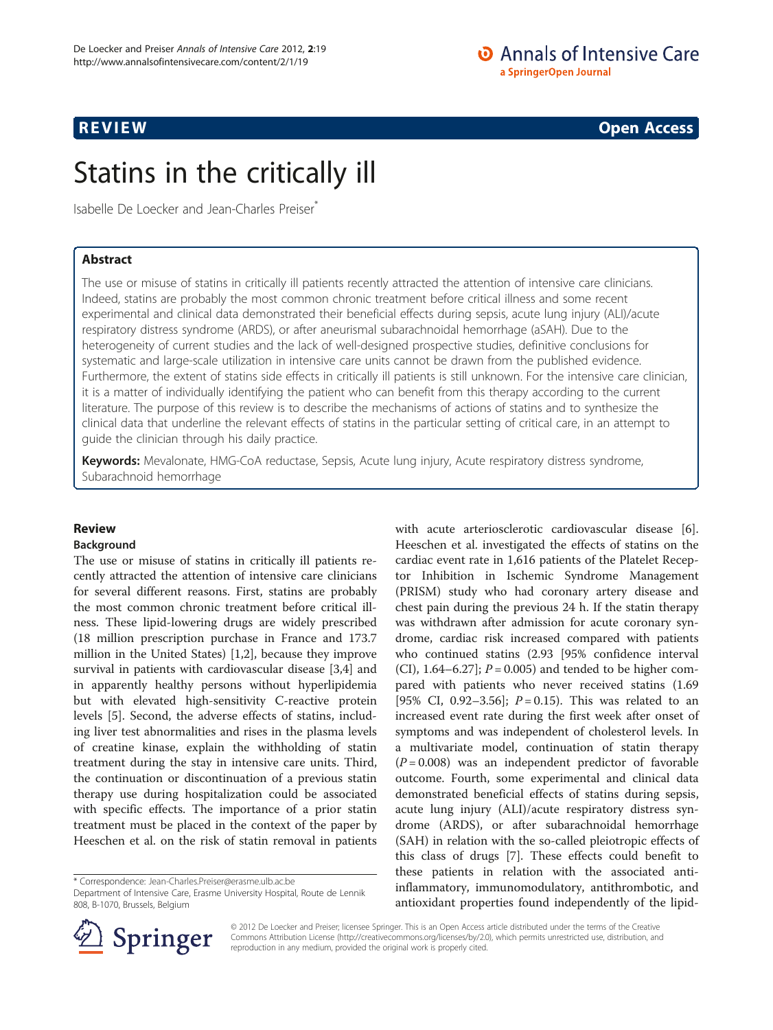**REVIEW CONSTRUCTION CONSTRUCTION CONSTRUCTS** 

# Statins in the critically ill

Isabelle De Loecker and Jean-Charles Preiser

# Abstract

The use or misuse of statins in critically ill patients recently attracted the attention of intensive care clinicians. Indeed, statins are probably the most common chronic treatment before critical illness and some recent experimental and clinical data demonstrated their beneficial effects during sepsis, acute lung injury (ALI)/acute respiratory distress syndrome (ARDS), or after aneurismal subarachnoidal hemorrhage (aSAH). Due to the heterogeneity of current studies and the lack of well-designed prospective studies, definitive conclusions for systematic and large-scale utilization in intensive care units cannot be drawn from the published evidence. Furthermore, the extent of statins side effects in critically ill patients is still unknown. For the intensive care clinician, it is a matter of individually identifying the patient who can benefit from this therapy according to the current literature. The purpose of this review is to describe the mechanisms of actions of statins and to synthesize the clinical data that underline the relevant effects of statins in the particular setting of critical care, in an attempt to guide the clinician through his daily practice.

Keywords: Mevalonate, HMG-CoA reductase, Sepsis, Acute lung injury, Acute respiratory distress syndrome, Subarachnoid hemorrhage

# Review

#### Background

The use or misuse of statins in critically ill patients recently attracted the attention of intensive care clinicians for several different reasons. First, statins are probably the most common chronic treatment before critical illness. These lipid-lowering drugs are widely prescribed (18 million prescription purchase in France and 173.7 million in the United States) [[1,2\]](#page-8-0), because they improve survival in patients with cardiovascular disease [[3,4\]](#page-8-0) and in apparently healthy persons without hyperlipidemia but with elevated high-sensitivity C-reactive protein levels [\[5\]](#page-8-0). Second, the adverse effects of statins, including liver test abnormalities and rises in the plasma levels of creatine kinase, explain the withholding of statin treatment during the stay in intensive care units. Third, the continuation or discontinuation of a previous statin therapy use during hospitalization could be associated with specific effects. The importance of a prior statin treatment must be placed in the context of the paper by Heeschen et al. on the risk of statin removal in patients

\* Correspondence: [Jean-Charles.Preiser@erasme.ulb.ac.be](mailto:Jean-Charles.Preiser@erasme.ulb.ac.be)

Department of Intensive Care, Erasme University Hospital, Route de Lennik 808, B-1070, Brussels, Belgium





© 2012 De Loecker and Preiser; licensee Springer. This is an Open Access article distributed under the terms of the Creative Commons Attribution License (<http://creativecommons.org/licenses/by/2.0>), which permits unrestricted use, distribution, and reproduction in any medium, provided the original work is properly cited.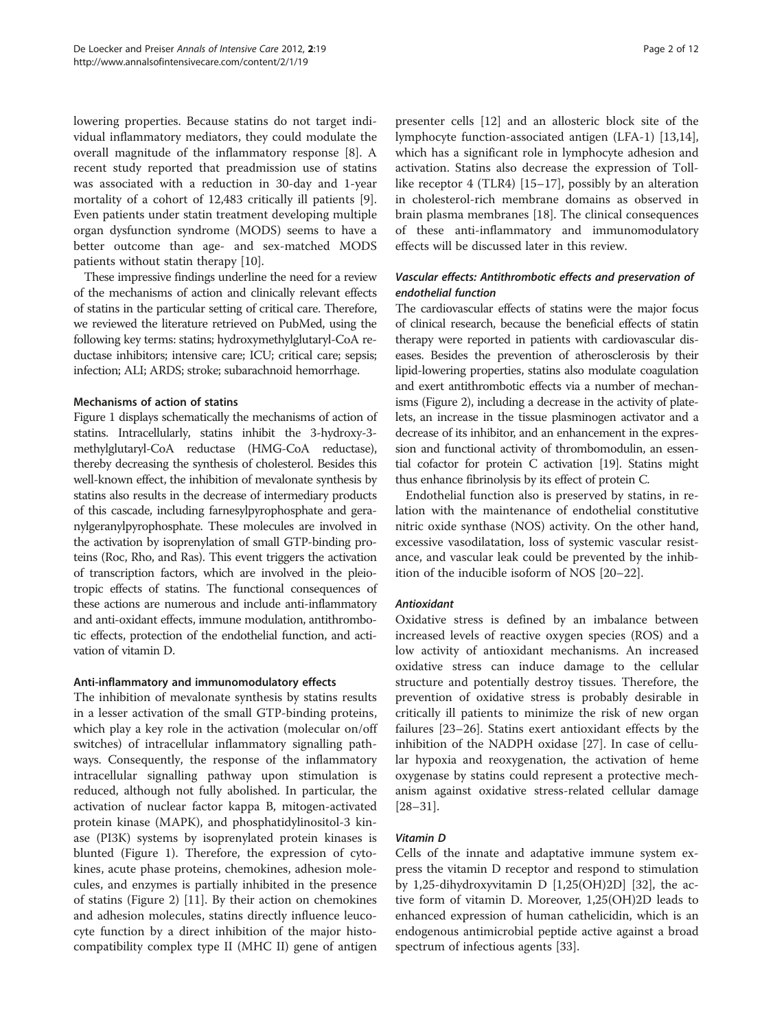lowering properties. Because statins do not target individual inflammatory mediators, they could modulate the overall magnitude of the inflammatory response [[8\]](#page-8-0). A recent study reported that preadmission use of statins was associated with a reduction in 30-day and 1-year mortality of a cohort of 12,483 critically ill patients [\[9](#page-8-0)]. Even patients under statin treatment developing multiple organ dysfunction syndrome (MODS) seems to have a better outcome than age- and sex-matched MODS patients without statin therapy [[10](#page-8-0)].

These impressive findings underline the need for a review of the mechanisms of action and clinically relevant effects of statins in the particular setting of critical care. Therefore, we reviewed the literature retrieved on PubMed, using the following key terms: statins; hydroxymethylglutaryl-CoA reductase inhibitors; intensive care; ICU; critical care; sepsis; infection; ALI; ARDS; stroke; subarachnoid hemorrhage.

### Mechanisms of action of statins

Figure [1](#page-2-0) displays schematically the mechanisms of action of statins. Intracellularly, statins inhibit the 3-hydroxy-3 methylglutaryl-CoA reductase (HMG-CoA reductase), thereby decreasing the synthesis of cholesterol. Besides this well-known effect, the inhibition of mevalonate synthesis by statins also results in the decrease of intermediary products of this cascade, including farnesylpyrophosphate and geranylgeranylpyrophosphate. These molecules are involved in the activation by isoprenylation of small GTP-binding proteins (Roc, Rho, and Ras). This event triggers the activation of transcription factors, which are involved in the pleiotropic effects of statins. The functional consequences of these actions are numerous and include anti-inflammatory and anti-oxidant effects, immune modulation, antithrombotic effects, protection of the endothelial function, and activation of vitamin D.

#### Anti-inflammatory and immunomodulatory effects

The inhibition of mevalonate synthesis by statins results in a lesser activation of the small GTP-binding proteins, which play a key role in the activation (molecular on/off switches) of intracellular inflammatory signalling pathways. Consequently, the response of the inflammatory intracellular signalling pathway upon stimulation is reduced, although not fully abolished. In particular, the activation of nuclear factor kappa B, mitogen-activated protein kinase (MAPK), and phosphatidylinositol-3 kinase (PI3K) systems by isoprenylated protein kinases is blunted (Figure [1](#page-2-0)). Therefore, the expression of cytokines, acute phase proteins, chemokines, adhesion molecules, and enzymes is partially inhibited in the presence of statins (Figure [2](#page-3-0)) [[11\]](#page-8-0). By their action on chemokines and adhesion molecules, statins directly influence leucocyte function by a direct inhibition of the major histocompatibility complex type II (MHC II) gene of antigen

presenter cells [\[12](#page-8-0)] and an allosteric block site of the lymphocyte function-associated antigen (LFA-1) [\[13,14](#page-8-0)], which has a significant role in lymphocyte adhesion and activation. Statins also decrease the expression of Tolllike receptor 4 (TLR4) [[15](#page-8-0)–[17](#page-8-0)], possibly by an alteration in cholesterol-rich membrane domains as observed in brain plasma membranes [[18\]](#page-9-0). The clinical consequences of these anti-inflammatory and immunomodulatory effects will be discussed later in this review.

# Vascular effects: Antithrombotic effects and preservation of endothelial function

The cardiovascular effects of statins were the major focus of clinical research, because the beneficial effects of statin therapy were reported in patients with cardiovascular diseases. Besides the prevention of atherosclerosis by their lipid-lowering properties, statins also modulate coagulation and exert antithrombotic effects via a number of mechanisms (Figure [2](#page-3-0)), including a decrease in the activity of platelets, an increase in the tissue plasminogen activator and a decrease of its inhibitor, and an enhancement in the expression and functional activity of thrombomodulin, an essential cofactor for protein C activation [\[19](#page-9-0)]. Statins might thus enhance fibrinolysis by its effect of protein C.

Endothelial function also is preserved by statins, in relation with the maintenance of endothelial constitutive nitric oxide synthase (NOS) activity. On the other hand, excessive vasodilatation, loss of systemic vascular resistance, and vascular leak could be prevented by the inhibition of the inducible isoform of NOS [\[20](#page-9-0)–[22\]](#page-9-0).

# Antioxidant

Oxidative stress is defined by an imbalance between increased levels of reactive oxygen species (ROS) and a low activity of antioxidant mechanisms. An increased oxidative stress can induce damage to the cellular structure and potentially destroy tissues. Therefore, the prevention of oxidative stress is probably desirable in critically ill patients to minimize the risk of new organ failures [\[23](#page-9-0)–[26\]](#page-9-0). Statins exert antioxidant effects by the inhibition of the NADPH oxidase [\[27\]](#page-9-0). In case of cellular hypoxia and reoxygenation, the activation of heme oxygenase by statins could represent a protective mechanism against oxidative stress-related cellular damage [[28](#page-9-0)–[31](#page-9-0)].

# Vitamin D

Cells of the innate and adaptative immune system express the vitamin D receptor and respond to stimulation by 1,25-dihydroxyvitamin  $D$  [1,25(OH)2D] [[32\]](#page-9-0), the active form of vitamin D. Moreover, 1,25(OH)2D leads to enhanced expression of human cathelicidin, which is an endogenous antimicrobial peptide active against a broad spectrum of infectious agents [[33](#page-9-0)].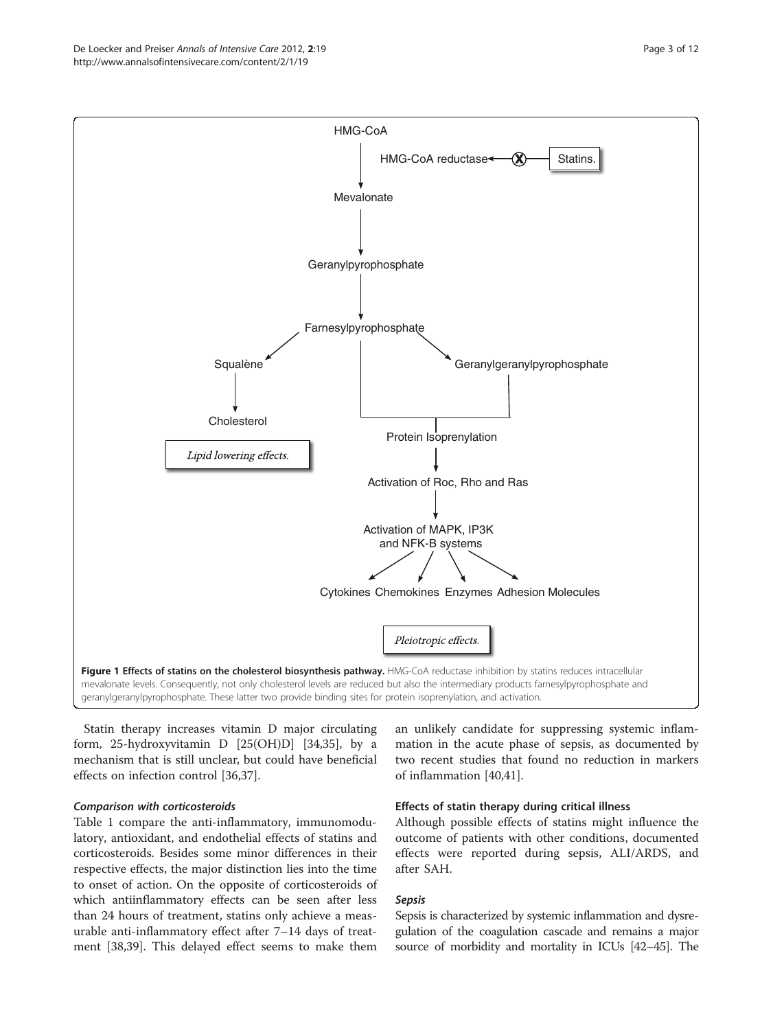<span id="page-2-0"></span>

Statin therapy increases vitamin D major circulating form, 25-hydroxyvitamin D [25(OH)D] [[34,35](#page-9-0)], by a mechanism that is still unclear, but could have beneficial effects on infection control [[36,37](#page-9-0)].

### Comparison with corticosteroids

Table [1](#page-4-0) compare the anti-inflammatory, immunomodulatory, antioxidant, and endothelial effects of statins and corticosteroids. Besides some minor differences in their respective effects, the major distinction lies into the time to onset of action. On the opposite of corticosteroids of which antiinflammatory effects can be seen after less than 24 hours of treatment, statins only achieve a measurable anti-inflammatory effect after 7–14 days of treatment [\[38,39](#page-9-0)]. This delayed effect seems to make them

an unlikely candidate for suppressing systemic inflammation in the acute phase of sepsis, as documented by two recent studies that found no reduction in markers of inflammation [[40](#page-9-0),[41](#page-9-0)].

#### Effects of statin therapy during critical illness

Although possible effects of statins might influence the outcome of patients with other conditions, documented effects were reported during sepsis, ALI/ARDS, and after SAH.

# Sepsis

Sepsis is characterized by systemic inflammation and dysregulation of the coagulation cascade and remains a major source of morbidity and mortality in ICUs [[42](#page-9-0)–[45](#page-9-0)]. The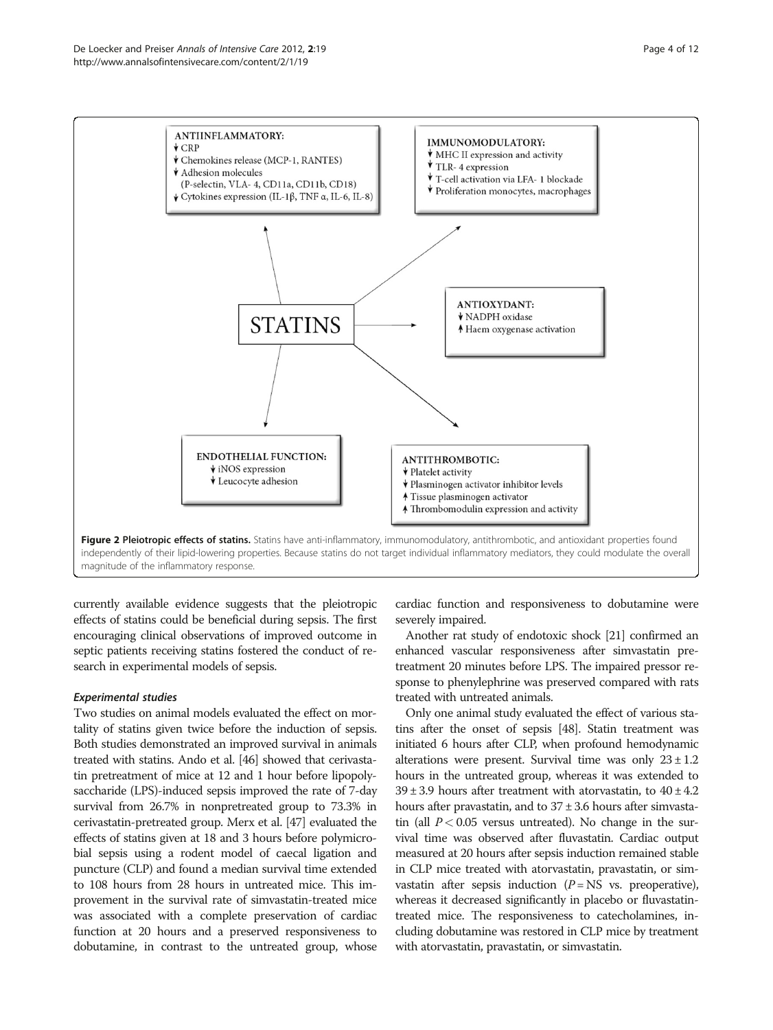<span id="page-3-0"></span>

currently available evidence suggests that the pleiotropic effects of statins could be beneficial during sepsis. The first encouraging clinical observations of improved outcome in septic patients receiving statins fostered the conduct of research in experimental models of sepsis.

#### Experimental studies

Two studies on animal models evaluated the effect on mortality of statins given twice before the induction of sepsis. Both studies demonstrated an improved survival in animals treated with statins. Ando et al. [\[46](#page-9-0)] showed that cerivastatin pretreatment of mice at 12 and 1 hour before lipopolysaccharide (LPS)-induced sepsis improved the rate of 7-day survival from 26.7% in nonpretreated group to 73.3% in cerivastatin-pretreated group. Merx et al. [\[47\]](#page-9-0) evaluated the effects of statins given at 18 and 3 hours before polymicrobial sepsis using a rodent model of caecal ligation and puncture (CLP) and found a median survival time extended to 108 hours from 28 hours in untreated mice. This improvement in the survival rate of simvastatin-treated mice was associated with a complete preservation of cardiac function at 20 hours and a preserved responsiveness to dobutamine, in contrast to the untreated group, whose

cardiac function and responsiveness to dobutamine were severely impaired.

Another rat study of endotoxic shock [[21\]](#page-9-0) confirmed an enhanced vascular responsiveness after simvastatin pretreatment 20 minutes before LPS. The impaired pressor response to phenylephrine was preserved compared with rats treated with untreated animals.

Only one animal study evaluated the effect of various statins after the onset of sepsis [\[48\]](#page-9-0). Statin treatment was initiated 6 hours after CLP, when profound hemodynamic alterations were present. Survival time was only  $23 \pm 1.2$ hours in the untreated group, whereas it was extended to  $39 \pm 3.9$  hours after treatment with atorvastatin, to  $40 \pm 4.2$ hours after pravastatin, and to  $37 \pm 3.6$  hours after simvastatin (all  $P < 0.05$  versus untreated). No change in the survival time was observed after fluvastatin. Cardiac output measured at 20 hours after sepsis induction remained stable in CLP mice treated with atorvastatin, pravastatin, or simvastatin after sepsis induction  $(P = NS$  vs. preoperative), whereas it decreased significantly in placebo or fluvastatintreated mice. The responsiveness to catecholamines, including dobutamine was restored in CLP mice by treatment with atorvastatin, pravastatin, or simvastatin.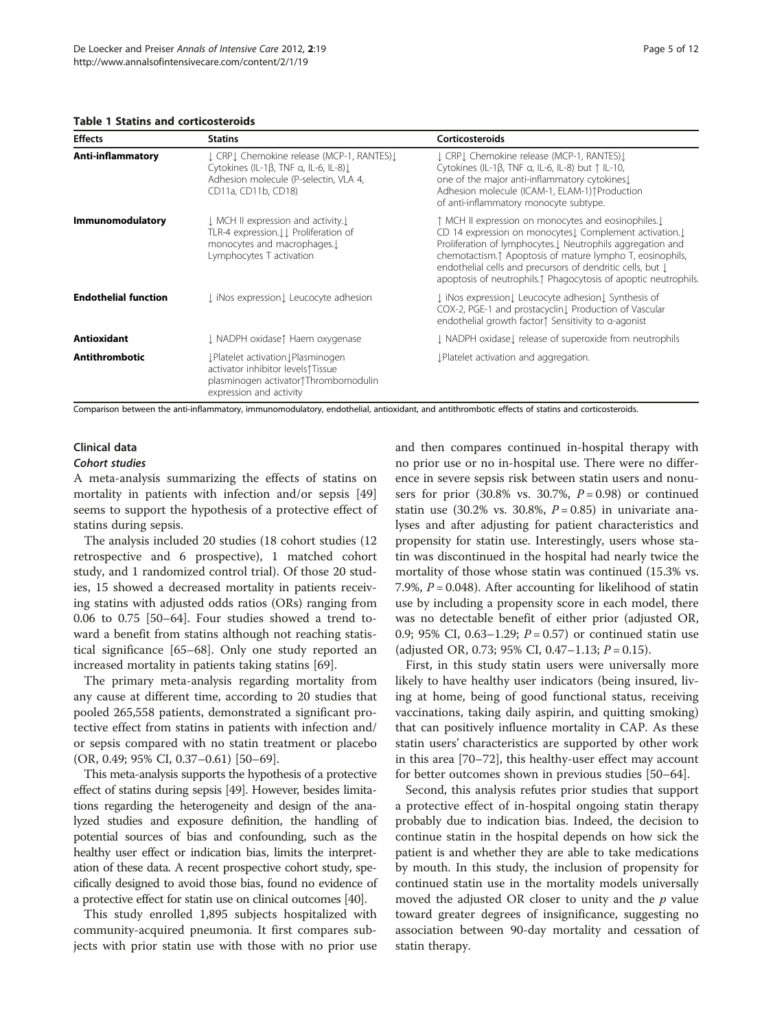<span id="page-4-0"></span>Table 1 Statins and corticosteroids

| <b>Effects</b>              | <b>Statins</b>                                                                                                                                                         | Corticosteroids                                                                                                                                                                                                                                                                                                                                                                                   |  |  |  |
|-----------------------------|------------------------------------------------------------------------------------------------------------------------------------------------------------------------|---------------------------------------------------------------------------------------------------------------------------------------------------------------------------------------------------------------------------------------------------------------------------------------------------------------------------------------------------------------------------------------------------|--|--|--|
| Anti-inflammatory           | ↓ CRP↓ Chemokine release (MCP-1, RANTES)↓<br>Cytokines (IL-1 $\beta$ , TNF a, IL-6, IL-8) $\downarrow$<br>Adhesion molecule (P-selectin, VLA 4,<br>CD11a, CD11b, CD18) | J. CRPJ. Chemokine release (MCP-1, RANTES) J<br>Cytokines (IL-1 $\beta$ , TNF a, IL-6, IL-8) but $\uparrow$ IL-10,<br>one of the major anti-inflammatory cytokines.<br>Adhesion molecule (ICAM-1, ELAM-1) <sup>†</sup> Production<br>of anti-inflammatory monocyte subtype.                                                                                                                       |  |  |  |
| Immunomodulatory            | J. MCH II expression and activity.J.<br>TLR-4 expression.     Proliferation of<br>monocytes and macrophages.<br>Lymphocytes T activation                               | ↑ MCH II expression on monocytes and eosinophiles.↓<br>CD 14 expression on monocytes, Complement activation.<br>Proliferation of lymphocytes. J Neutrophils aggregation and<br>chemotactism. <sup>†</sup> Apoptosis of mature lympho T, eosinophils,<br>endothelial cells and precursors of dendritic cells, but 1<br>apoptosis of neutrophils. <sup>†</sup> Phagocytosis of apoptic neutrophils. |  |  |  |
| <b>Endothelial function</b> | I iNos expression I Leucocyte adhesion                                                                                                                                 | I iNos expression I Leucocyte adhesion I Synthesis of<br>COX-2, PGE-1 and prostacyclin]. Production of Vascular<br>endothelial growth factor <sup>®</sup> Sensitivity to a-agonist                                                                                                                                                                                                                |  |  |  |
| <b>Antioxidant</b>          | ↓ NADPH oxidase↑ Haem oxygenase                                                                                                                                        | J. NADPH oxidase I release of superoxide from neutrophils                                                                                                                                                                                                                                                                                                                                         |  |  |  |
| <b>Antithrombotic</b>       | [Platelet activation] Plasminogen<br>activator inhibitor levels <sup>1</sup> Tissue<br>plasminogen activator <sup>1</sup> Thrombomodulin<br>expression and activity    | Platelet activation and aggregation.                                                                                                                                                                                                                                                                                                                                                              |  |  |  |

Comparison between the anti-inflammatory, immunomodulatory, endothelial, antioxidant, and antithrombotic effects of statins and corticosteroids.

# Clinical data

#### Cohort studies

A meta-analysis summarizing the effects of statins on mortality in patients with infection and/or sepsis [[49](#page-9-0)] seems to support the hypothesis of a protective effect of statins during sepsis.

The analysis included 20 studies (18 cohort studies (12 retrospective and 6 prospective), 1 matched cohort study, and 1 randomized control trial). Of those 20 studies, 15 showed a decreased mortality in patients receiving statins with adjusted odds ratios (ORs) ranging from 0.06 to 0.75 [[50](#page-9-0)–[64](#page-9-0)]. Four studies showed a trend toward a benefit from statins although not reaching statistical significance [\[65](#page-9-0)–[68\]](#page-9-0). Only one study reported an increased mortality in patients taking statins [[69](#page-10-0)].

The primary meta-analysis regarding mortality from any cause at different time, according to 20 studies that pooled 265,558 patients, demonstrated a significant protective effect from statins in patients with infection and/ or sepsis compared with no statin treatment or placebo (OR, 0.49; 95% CI, 0.37–0.61) [\[50](#page-9-0)–[69](#page-10-0)].

This meta-analysis supports the hypothesis of a protective effect of statins during sepsis [[49](#page-9-0)]. However, besides limitations regarding the heterogeneity and design of the analyzed studies and exposure definition, the handling of potential sources of bias and confounding, such as the healthy user effect or indication bias, limits the interpretation of these data. A recent prospective cohort study, specifically designed to avoid those bias, found no evidence of a protective effect for statin use on clinical outcomes [\[40\]](#page-9-0).

This study enrolled 1,895 subjects hospitalized with community-acquired pneumonia. It first compares subjects with prior statin use with those with no prior use and then compares continued in-hospital therapy with no prior use or no in-hospital use. There were no difference in severe sepsis risk between statin users and nonusers for prior  $(30.8\% \text{ vs. } 30.7\%, P = 0.98)$  or continued statin use (30.2% vs. 30.8%,  $P = 0.85$ ) in univariate analyses and after adjusting for patient characteristics and propensity for statin use. Interestingly, users whose statin was discontinued in the hospital had nearly twice the mortality of those whose statin was continued (15.3% vs. 7.9%,  $P = 0.048$ ). After accounting for likelihood of statin use by including a propensity score in each model, there was no detectable benefit of either prior (adjusted OR, 0.9; 95% CI, 0.63–1.29;  $P = 0.57$ ) or continued statin use (adjusted OR, 0.73; 95% CI, 0.47-1.13;  $P = 0.15$ ).

First, in this study statin users were universally more likely to have healthy user indicators (being insured, living at home, being of good functional status, receiving vaccinations, taking daily aspirin, and quitting smoking) that can positively influence mortality in CAP. As these statin users' characteristics are supported by other work in this area [\[70](#page-10-0)–[72\]](#page-10-0), this healthy-user effect may account for better outcomes shown in previous studies [[50](#page-9-0)–[64](#page-9-0)].

Second, this analysis refutes prior studies that support a protective effect of in-hospital ongoing statin therapy probably due to indication bias. Indeed, the decision to continue statin in the hospital depends on how sick the patient is and whether they are able to take medications by mouth. In this study, the inclusion of propensity for continued statin use in the mortality models universally moved the adjusted OR closer to unity and the  $p$  value toward greater degrees of insignificance, suggesting no association between 90-day mortality and cessation of statin therapy.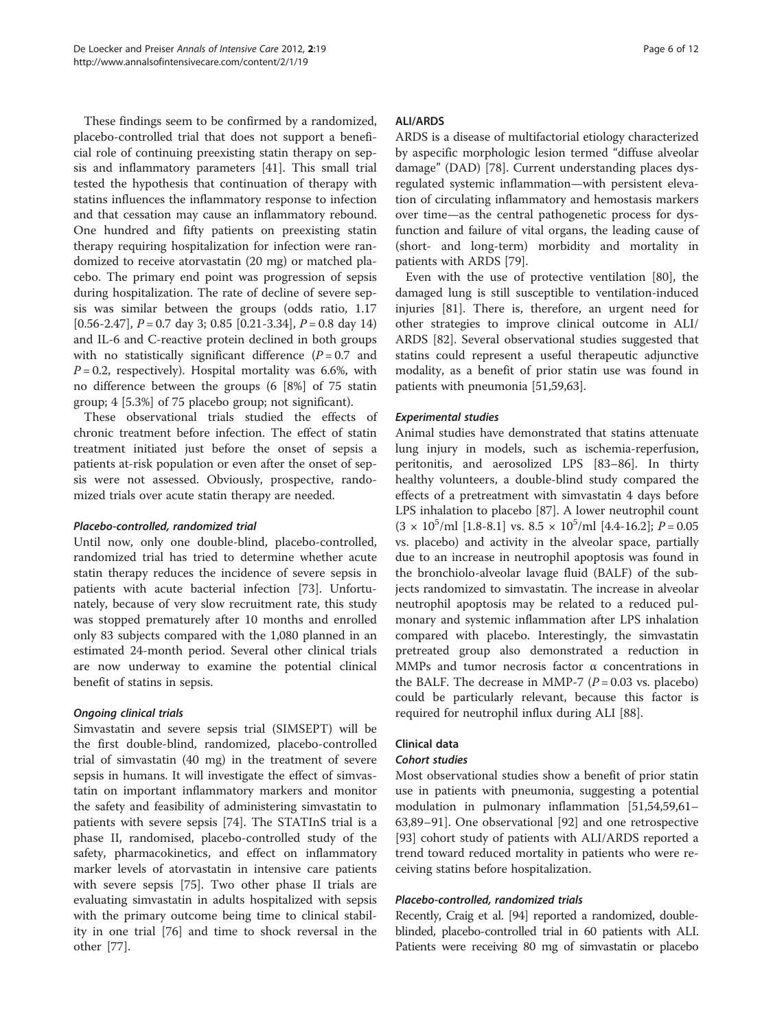These findings seem to be confirmed by a randomized, placebo-controlled trial that does not support a beneficial role of continuing preexisting statin therapy on sepsis and inflammatory parameters [[41\]](#page-9-0). This small trial tested the hypothesis that continuation of therapy with statins influences the inflammatory response to infection and that cessation may cause an inflammatory rebound. One hundred and fifty patients on preexisting statin therapy requiring hospitalization for infection were randomized to receive atorvastatin (20 mg) or matched placebo. The primary end point was progression of sepsis during hospitalization. The rate of decline of severe sepsis was similar between the groups (odds ratio, 1.17 [0.56-2.47],  $P = 0.7$  day 3; 0.85 [0.21-3.34],  $P = 0.8$  day 14) and IL-6 and C-reactive protein declined in both groups with no statistically significant difference  $(P = 0.7$  and  $P = 0.2$ , respectively). Hospital mortality was 6.6%, with no difference between the groups (6 [8%] of 75 statin group; 4 [5.3%] of 75 placebo group; not significant).

These observational trials studied the effects of chronic treatment before infection. The effect of statin treatment initiated just before the onset of sepsis a patients at-risk population or even after the onset of sepsis were not assessed. Obviously, prospective, randomized trials over acute statin therapy are needed.

# Placebo-controlled, randomized trial

Until now, only one double-blind, placebo-controlled, randomized trial has tried to determine whether acute statin therapy reduces the incidence of severe sepsis in patients with acute bacterial infection [[73\]](#page-10-0). Unfortunately, because of very slow recruitment rate, this study was stopped prematurely after 10 months and enrolled only 83 subjects compared with the 1,080 planned in an estimated 24-month period. Several other clinical trials are now underway to examine the potential clinical benefit of statins in sepsis.

#### Ongoing clinical trials

Simvastatin and severe sepsis trial (SIMSEPT) will be the first double-blind, randomized, placebo-controlled trial of simvastatin (40 mg) in the treatment of severe sepsis in humans. It will investigate the effect of simvastatin on important inflammatory markers and monitor the safety and feasibility of administering simvastatin to patients with severe sepsis [[74\]](#page-10-0). The STATInS trial is a phase II, randomised, placebo-controlled study of the safety, pharmacokinetics, and effect on inflammatory marker levels of atorvastatin in intensive care patients with severe sepsis [[75\]](#page-10-0). Two other phase II trials are evaluating simvastatin in adults hospitalized with sepsis with the primary outcome being time to clinical stability in one trial [[76\]](#page-10-0) and time to shock reversal in the other [\[77](#page-10-0)].

# ALI/ARDS

ARDS is a disease of multifactorial etiology characterized by aspecific morphologic lesion termed "diffuse alveolar damage" (DAD) [\[78\]](#page-10-0). Current understanding places dysregulated systemic inflammation—with persistent elevation of circulating inflammatory and hemostasis markers over time—as the central pathogenetic process for dysfunction and failure of vital organs, the leading cause of (short- and long-term) morbidity and mortality in patients with ARDS [[79\]](#page-10-0).

Even with the use of protective ventilation [[80\]](#page-10-0), the damaged lung is still susceptible to ventilation-induced injuries [[81\]](#page-10-0). There is, therefore, an urgent need for other strategies to improve clinical outcome in ALI/ ARDS [[82\]](#page-10-0). Several observational studies suggested that statins could represent a useful therapeutic adjunctive modality, as a benefit of prior statin use was found in patients with pneumonia [[51,59,63\]](#page-9-0).

# Experimental studies

Animal studies have demonstrated that statins attenuate lung injury in models, such as ischemia-reperfusion, peritonitis, and aerosolized LPS [[83](#page-10-0)–[86](#page-10-0)]. In thirty healthy volunteers, a double-blind study compared the effects of a pretreatment with simvastatin 4 days before LPS inhalation to placebo [[87\]](#page-10-0). A lower neutrophil count  $(3 \times 10^5$ /ml [1.8-8.1] vs.  $8.5 \times 10^5$ /ml [4.4-16.2];  $P = 0.05$ vs. placebo) and activity in the alveolar space, partially due to an increase in neutrophil apoptosis was found in the bronchiolo-alveolar lavage fluid (BALF) of the subjects randomized to simvastatin. The increase in alveolar neutrophil apoptosis may be related to a reduced pulmonary and systemic inflammation after LPS inhalation compared with placebo. Interestingly, the simvastatin pretreated group also demonstrated a reduction in MMPs and tumor necrosis factor α concentrations in the BALF. The decrease in MMP-7 ( $P = 0.03$  vs. placebo) could be particularly relevant, because this factor is required for neutrophil influx during ALI [[88](#page-10-0)].

#### Clinical data

#### Cohort studies

Most observational studies show a benefit of prior statin use in patients with pneumonia, suggesting a potential modulation in pulmonary inflammation [[51,54,59,61](#page-9-0)– [63,](#page-9-0)[89](#page-10-0)–[91](#page-10-0)]. One observational [[92\]](#page-10-0) and one retrospective [[93\]](#page-10-0) cohort study of patients with ALI/ARDS reported a trend toward reduced mortality in patients who were receiving statins before hospitalization.

# Placebo-controlled, randomized trials

Recently, Craig et al. [\[94](#page-10-0)] reported a randomized, doubleblinded, placebo-controlled trial in 60 patients with ALI. Patients were receiving 80 mg of simvastatin or placebo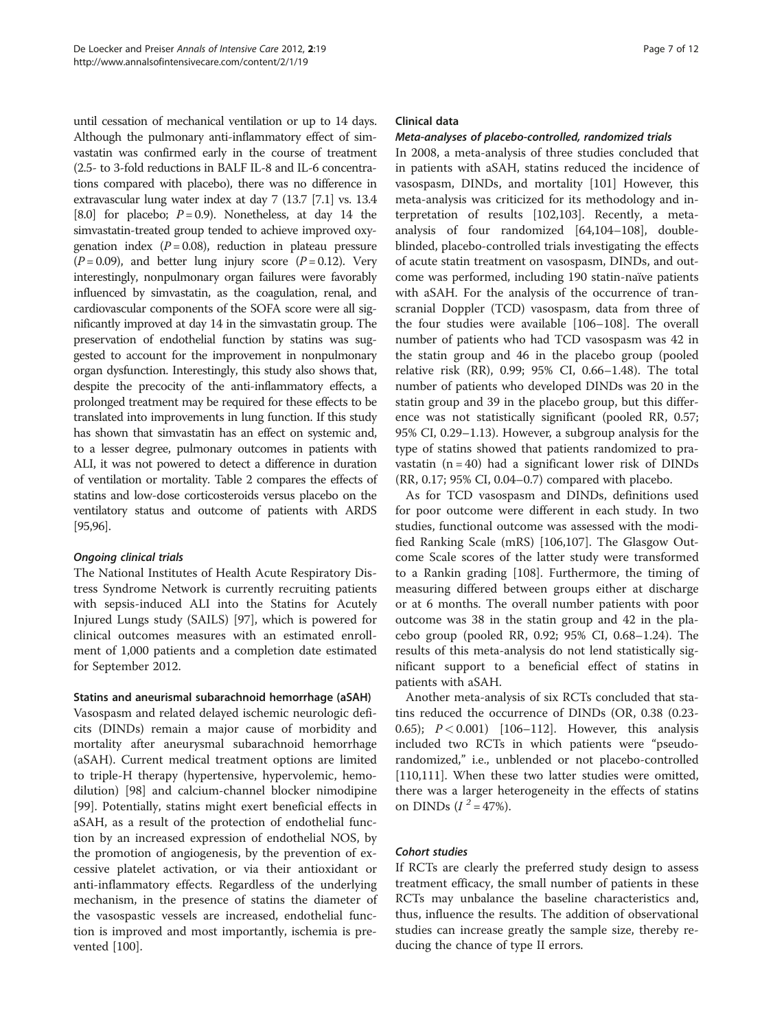until cessation of mechanical ventilation or up to 14 days. Although the pulmonary anti-inflammatory effect of simvastatin was confirmed early in the course of treatment (2.5- to 3-fold reductions in BALF IL-8 and IL-6 concentrations compared with placebo), there was no difference in extravascular lung water index at day 7 (13.7 [7.1] vs. 13.4 [8.0] for placebo;  $P = 0.9$ ). Nonetheless, at day 14 the simvastatin-treated group tended to achieve improved oxygenation index  $(P = 0.08)$ , reduction in plateau pressure  $(P = 0.09)$ , and better lung injury score  $(P = 0.12)$ . Very interestingly, nonpulmonary organ failures were favorably influenced by simvastatin, as the coagulation, renal, and cardiovascular components of the SOFA score were all significantly improved at day 14 in the simvastatin group. The preservation of endothelial function by statins was suggested to account for the improvement in nonpulmonary organ dysfunction. Interestingly, this study also shows that, despite the precocity of the anti-inflammatory effects, a prolonged treatment may be required for these effects to be translated into improvements in lung function. If this study has shown that simvastatin has an effect on systemic and, to a lesser degree, pulmonary outcomes in patients with ALI, it was not powered to detect a difference in duration of ventilation or mortality. Table [2](#page-7-0) compares the effects of statins and low-dose corticosteroids versus placebo on the ventilatory status and outcome of patients with ARDS [[95,96\]](#page-10-0).

# Ongoing clinical trials

The National Institutes of Health Acute Respiratory Distress Syndrome Network is currently recruiting patients with sepsis-induced ALI into the Statins for Acutely Injured Lungs study (SAILS) [\[97](#page-10-0)], which is powered for clinical outcomes measures with an estimated enrollment of 1,000 patients and a completion date estimated for September 2012.

# Statins and aneurismal subarachnoid hemorrhage (aSAH)

Vasospasm and related delayed ischemic neurologic deficits (DINDs) remain a major cause of morbidity and mortality after aneurysmal subarachnoid hemorrhage (aSAH). Current medical treatment options are limited to triple-H therapy (hypertensive, hypervolemic, hemodilution) [[98](#page-10-0)] and calcium-channel blocker nimodipine [[99\]](#page-10-0). Potentially, statins might exert beneficial effects in aSAH, as a result of the protection of endothelial function by an increased expression of endothelial NOS, by the promotion of angiogenesis, by the prevention of excessive platelet activation, or via their antioxidant or anti-inflammatory effects. Regardless of the underlying mechanism, in the presence of statins the diameter of the vasospastic vessels are increased, endothelial function is improved and most importantly, ischemia is prevented [[100\]](#page-10-0).

# Clinical data

# Meta-analyses of placebo-controlled, randomized trials

In 2008, a meta-analysis of three studies concluded that in patients with aSAH, statins reduced the incidence of vasospasm, DINDs, and mortality [[101](#page-10-0)] However, this meta-analysis was criticized for its methodology and interpretation of results [[102](#page-10-0),[103](#page-10-0)]. Recently, a metaanalysis of four randomized [\[64](#page-9-0)[,104](#page-10-0)–[108\]](#page-10-0), doubleblinded, placebo-controlled trials investigating the effects of acute statin treatment on vasospasm, DINDs, and outcome was performed, including 190 statin-naïve patients with aSAH. For the analysis of the occurrence of transcranial Doppler (TCD) vasospasm, data from three of the four studies were available [[106](#page-10-0)–[108](#page-10-0)]. The overall number of patients who had TCD vasospasm was 42 in the statin group and 46 in the placebo group (pooled relative risk (RR), 0.99; 95% CI, 0.66–1.48). The total number of patients who developed DINDs was 20 in the statin group and 39 in the placebo group, but this difference was not statistically significant (pooled RR, 0.57; 95% CI, 0.29–1.13). However, a subgroup analysis for the type of statins showed that patients randomized to pravastatin  $(n = 40)$  had a significant lower risk of DINDs (RR, 0.17; 95% CI, 0.04–0.7) compared with placebo.

As for TCD vasospasm and DINDs, definitions used for poor outcome were different in each study. In two studies, functional outcome was assessed with the modified Ranking Scale (mRS) [\[106,107\]](#page-10-0). The Glasgow Outcome Scale scores of the latter study were transformed to a Rankin grading [\[108](#page-10-0)]. Furthermore, the timing of measuring differed between groups either at discharge or at 6 months. The overall number patients with poor outcome was 38 in the statin group and 42 in the placebo group (pooled RR, 0.92; 95% CI, 0.68–1.24). The results of this meta-analysis do not lend statistically significant support to a beneficial effect of statins in patients with aSAH.

Another meta-analysis of six RCTs concluded that statins reduced the occurrence of DINDs (OR, 0.38 (0.23- 0.65);  $P < 0.001$  [\[106](#page-10-0)-[112\]](#page-10-0). However, this analysis included two RCTs in which patients were "pseudorandomized," i.e., unblended or not placebo-controlled [[110,111](#page-10-0)]. When these two latter studies were omitted, there was a larger heterogeneity in the effects of statins on DINDs  $(I^2 = 47\%).$ 

#### Cohort studies

If RCTs are clearly the preferred study design to assess treatment efficacy, the small number of patients in these RCTs may unbalance the baseline characteristics and, thus, influence the results. The addition of observational studies can increase greatly the sample size, thereby reducing the chance of type II errors.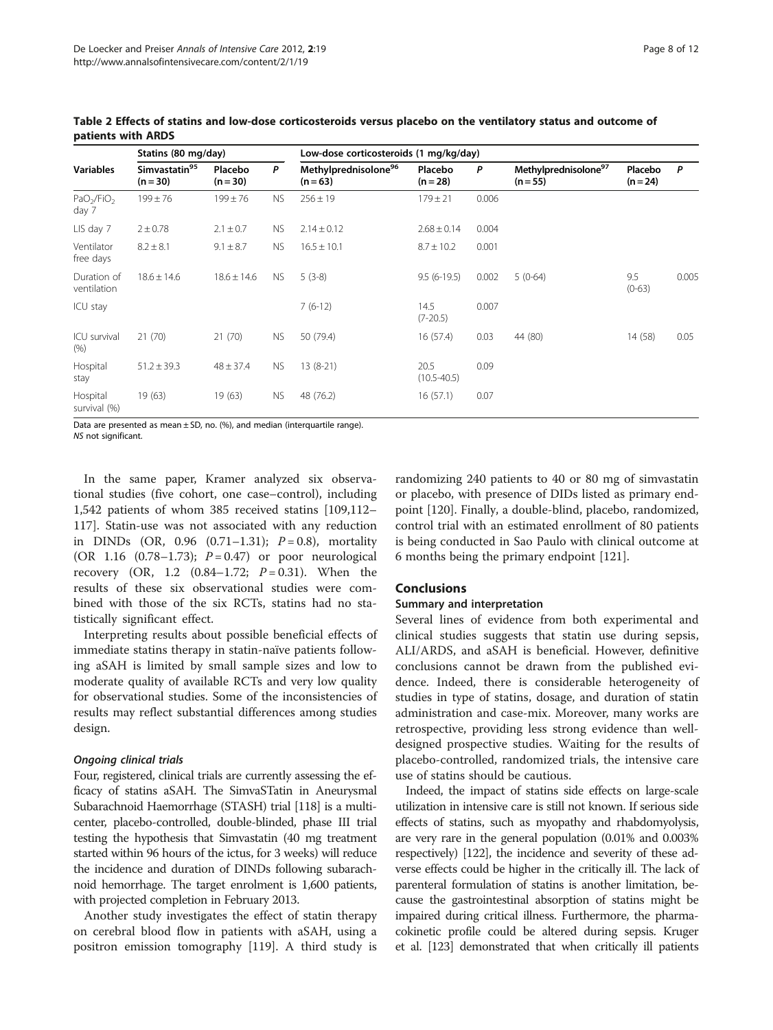|                                             | Statins (80 mg/day)                     |                       |           | Low-dose corticosteroids (1 mg/kg/day)       |                         |       |                                    |                       |       |
|---------------------------------------------|-----------------------------------------|-----------------------|-----------|----------------------------------------------|-------------------------|-------|------------------------------------|-----------------------|-------|
| <b>Variables</b>                            | Simvastatin <sup>95</sup><br>$(n = 30)$ | Placebo<br>$(n = 30)$ | P         | Methylprednisolone <sup>96</sup><br>$(n=63)$ | Placebo<br>$(n = 28)$   | P     | Methylprednisolone97<br>$(n = 55)$ | Placebo<br>$(n = 24)$ | P     |
| PaO <sub>2</sub> /FiO <sub>2</sub><br>day 7 | $199 \pm 76$                            | $199 \pm 76$          | <b>NS</b> | $256 \pm 19$                                 | $179 \pm 21$            | 0.006 |                                    |                       |       |
| LIS day 7                                   | $2 \pm 0.78$                            | $2.1 \pm 0.7$         | <b>NS</b> | $2.14 \pm 0.12$                              | $2.68 \pm 0.14$         | 0.004 |                                    |                       |       |
| Ventilator<br>free days                     | $8.2 \pm 8.1$                           | $9.1 \pm 8.7$         | <b>NS</b> | $16.5 \pm 10.1$                              | $8.7 \pm 10.2$          | 0.001 |                                    |                       |       |
| Duration of<br>ventilation                  | $18.6 \pm 14.6$                         | $18.6 \pm 14.6$       | <b>NS</b> | $5(3-8)$                                     | $9.5(6-19.5)$           | 0.002 | $5(0-64)$                          | 9.5<br>$(0-63)$       | 0.005 |
| ICU stay                                    |                                         |                       |           | $7(6-12)$                                    | 14.5<br>$(7-20.5)$      | 0.007 |                                    |                       |       |
| ICU survival<br>(% )                        | 21(70)                                  | 21(70)                | <b>NS</b> | 50 (79.4)                                    | 16 (57.4)               | 0.03  | 44 (80)                            | 14 (58)               | 0.05  |
| Hospital<br>stay                            | $51.2 \pm 39.3$                         | $48 \pm 37.4$         | <b>NS</b> | $13(8-21)$                                   | 20.5<br>$(10.5 - 40.5)$ | 0.09  |                                    |                       |       |
| Hospital<br>survival (%)                    | 19(63)                                  | 19 (63)               | <b>NS</b> | 48 (76.2)                                    | 16 (57.1)               | 0.07  |                                    |                       |       |

<span id="page-7-0"></span>Table 2 Effects of statins and low-dose corticosteroids versus placebo on the ventilatory status and outcome of patients with ARDS

Data are presented as mean  $\pm$  SD, no. (%), and median (interquartile range).

NS not significant.

In the same paper, Kramer analyzed six observational studies (five cohort, one case–control), including 1,542 patients of whom 385 received statins [\[109,112](#page-10-0)– [117](#page-11-0)]. Statin-use was not associated with any reduction in DINDs (OR, 0.96  $(0.71-1.31)$ ;  $P=0.8$ ), mortality (OR 1.16 (0.78-1.73);  $P = 0.47$ ) or poor neurological recovery (OR, 1.2  $(0.84-1.72; P=0.31)$ . When the results of these six observational studies were combined with those of the six RCTs, statins had no statistically significant effect.

Interpreting results about possible beneficial effects of immediate statins therapy in statin-naïve patients following aSAH is limited by small sample sizes and low to moderate quality of available RCTs and very low quality for observational studies. Some of the inconsistencies of results may reflect substantial differences among studies design.

# Ongoing clinical trials

Four, registered, clinical trials are currently assessing the efficacy of statins aSAH. The SimvaSTatin in Aneurysmal Subarachnoid Haemorrhage (STASH) trial [\[118](#page-11-0)] is a multicenter, placebo-controlled, double-blinded, phase III trial testing the hypothesis that Simvastatin (40 mg treatment started within 96 hours of the ictus, for 3 weeks) will reduce the incidence and duration of DINDs following subarachnoid hemorrhage. The target enrolment is 1,600 patients, with projected completion in February 2013.

Another study investigates the effect of statin therapy on cerebral blood flow in patients with aSAH, using a positron emission tomography [[119](#page-11-0)]. A third study is

randomizing 240 patients to 40 or 80 mg of simvastatin or placebo, with presence of DIDs listed as primary endpoint [\[120\]](#page-11-0). Finally, a double-blind, placebo, randomized, control trial with an estimated enrollment of 80 patients is being conducted in Sao Paulo with clinical outcome at 6 months being the primary endpoint [\[121\]](#page-11-0).

# Conclusions

# Summary and interpretation

Several lines of evidence from both experimental and clinical studies suggests that statin use during sepsis, ALI/ARDS, and aSAH is beneficial. However, definitive conclusions cannot be drawn from the published evidence. Indeed, there is considerable heterogeneity of studies in type of statins, dosage, and duration of statin administration and case-mix. Moreover, many works are retrospective, providing less strong evidence than welldesigned prospective studies. Waiting for the results of placebo-controlled, randomized trials, the intensive care use of statins should be cautious.

Indeed, the impact of statins side effects on large-scale utilization in intensive care is still not known. If serious side effects of statins, such as myopathy and rhabdomyolysis, are very rare in the general population (0.01% and 0.003% respectively) [[122\]](#page-11-0), the incidence and severity of these adverse effects could be higher in the critically ill. The lack of parenteral formulation of statins is another limitation, because the gastrointestinal absorption of statins might be impaired during critical illness. Furthermore, the pharmacokinetic profile could be altered during sepsis. Kruger et al. [[123\]](#page-11-0) demonstrated that when critically ill patients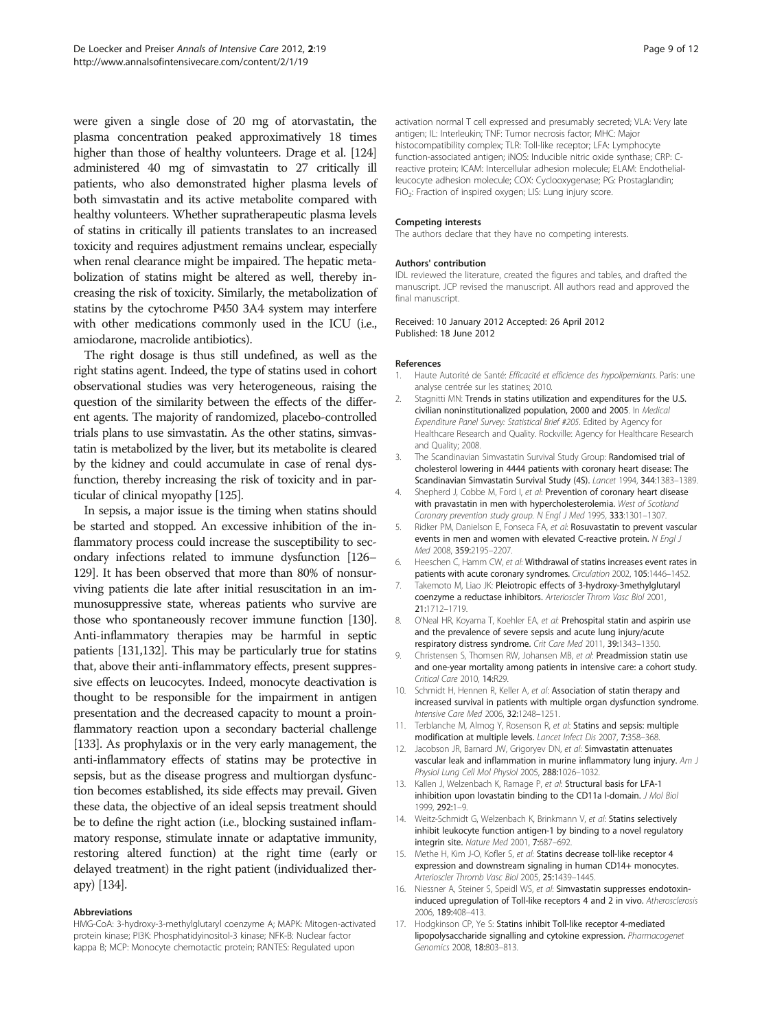<span id="page-8-0"></span>were given a single dose of 20 mg of atorvastatin, the plasma concentration peaked approximatively 18 times higher than those of healthy volunteers. Drage et al. [\[124](#page-11-0)] administered 40 mg of simvastatin to 27 critically ill patients, who also demonstrated higher plasma levels of both simvastatin and its active metabolite compared with healthy volunteers. Whether supratherapeutic plasma levels of statins in critically ill patients translates to an increased toxicity and requires adjustment remains unclear, especially when renal clearance might be impaired. The hepatic metabolization of statins might be altered as well, thereby increasing the risk of toxicity. Similarly, the metabolization of statins by the cytochrome P450 3A4 system may interfere with other medications commonly used in the ICU (i.e., amiodarone, macrolide antibiotics).

The right dosage is thus still undefined, as well as the right statins agent. Indeed, the type of statins used in cohort observational studies was very heterogeneous, raising the question of the similarity between the effects of the different agents. The majority of randomized, placebo-controlled trials plans to use simvastatin. As the other statins, simvastatin is metabolized by the liver, but its metabolite is cleared by the kidney and could accumulate in case of renal dysfunction, thereby increasing the risk of toxicity and in particular of clinical myopathy [[125\]](#page-11-0).

In sepsis, a major issue is the timing when statins should be started and stopped. An excessive inhibition of the inflammatory process could increase the susceptibility to secondary infections related to immune dysfunction [\[126](#page-11-0)– [129\]](#page-11-0). It has been observed that more than 80% of nonsurviving patients die late after initial resuscitation in an immunosuppressive state, whereas patients who survive are those who spontaneously recover immune function [\[130](#page-11-0)]. Anti-inflammatory therapies may be harmful in septic patients [[131,132\]](#page-11-0). This may be particularly true for statins that, above their anti-inflammatory effects, present suppressive effects on leucocytes. Indeed, monocyte deactivation is thought to be responsible for the impairment in antigen presentation and the decreased capacity to mount a proinflammatory reaction upon a secondary bacterial challenge [[133\]](#page-11-0). As prophylaxis or in the very early management, the anti-inflammatory effects of statins may be protective in sepsis, but as the disease progress and multiorgan dysfunction becomes established, its side effects may prevail. Given these data, the objective of an ideal sepsis treatment should be to define the right action (i.e., blocking sustained inflammatory response, stimulate innate or adaptative immunity, restoring altered function) at the right time (early or delayed treatment) in the right patient (individualized therapy) [[134\]](#page-11-0).

#### Abbreviations

HMG-CoA: 3-hydroxy-3-methylglutaryl coenzyme A; MAPK: Mitogen-activated protein kinase; PI3K: Phosphatidyinositol-3 kinase; NFK-B: Nuclear factor kappa B; MCP: Monocyte chemotactic protein; RANTES: Regulated upon

activation normal T cell expressed and presumably secreted; VLA: Very late antigen; IL: Interleukin; TNF: Tumor necrosis factor; MHC: Major histocompatibility complex; TLR: Toll-like receptor; LFA: Lymphocyte function-associated antigen; iNOS: Inducible nitric oxide synthase; CRP: Creactive protein; ICAM: Intercellular adhesion molecule; ELAM: Endothelialleucocyte adhesion molecule; COX: Cyclooxygenase; PG: Prostaglandin; FiO<sub>2</sub>: Fraction of inspired oxygen; LIS: Lung injury score.

#### Competing interests

The authors declare that they have no competing interests.

#### Authors' contribution

IDL reviewed the literature, created the figures and tables, and drafted the manuscript. JCP revised the manuscript. All authors read and approved the final manuscript.

#### Received: 10 January 2012 Accepted: 26 April 2012 Published: 18 June 2012

#### References

- 1. Haute Autorité de Santé: Efficacité et efficience des hypolipemiants. Paris: une analyse centrée sur les statines; 2010.
- 2. Stagnitti MN: Trends in statins utilization and expenditures for the U.S. civilian noninstitutionalized population, 2000 and 2005. In Medical Expenditure Panel Survey: Statistical Brief #205. Edited by Agency for Healthcare Research and Quality. Rockville: Agency for Healthcare Research and Quality; 2008.
- 3. The Scandinavian Simvastatin Survival Study Group: Randomised trial of cholesterol lowering in 4444 patients with coronary heart disease: The Scandinavian Simvastatin Survival Study (4S). Lancet 1994, 344:1383-1389.
- 4. Shepherd J, Cobbe M, Ford I, et al: Prevention of coronary heart disease with pravastatin in men with hypercholesterolemia. West of Scotland Coronary prevention study group. N Engl J Med 1995, 333:1301–1307.
- 5. Ridker PM, Danielson E, Fonseca FA, et al: Rosuvastatin to prevent vascular events in men and women with elevated C-reactive protein. N Engl J Med 2008, 359:2195–2207.
- 6. Heeschen C, Hamm CW, et al: Withdrawal of statins increases event rates in patients with acute coronary syndromes. Circulation 2002, 105:1446–1452.
- 7. Takemoto M, Liao JK: Pleiotropic effects of 3-hydroxy-3methylglutaryl coenzyme a reductase inhibitors. Arterioscler Throm Vasc Biol 2001, 21:1712–1719.
- 8. O'Neal HR, Koyama T, Koehler EA, et al: Prehospital statin and aspirin use and the prevalence of severe sepsis and acute lung injury/acute respiratory distress syndrome. Crit Care Med 2011, 39:1343–1350.
- 9. Christensen S, Thomsen RW, Johansen MB, et al: Preadmission statin use and one-year mortality among patients in intensive care: a cohort study. Critical Care 2010, 14:R29.
- 10. Schmidt H, Hennen R, Keller A, et al: Association of statin therapy and increased survival in patients with multiple organ dysfunction syndrome. Intensive Care Med 2006, 32:1248–1251.
- 11. Terblanche M, Almog Y, Rosenson R, et al: Statins and sepsis: multiple modification at multiple levels. Lancet Infect Dis 2007, 7:358–368.
- 12. Jacobson JR, Barnard JW, Grigoryev DN, et al: Simvastatin attenuates vascular leak and inflammation in murine inflammatory lung injury. Am J Physiol Lung Cell Mol Physiol 2005, 288:1026–1032.
- 13. Kallen J, Welzenbach K, Ramage P, et al: Structural basis for LFA-1 inhibition upon lovastatin binding to the CD11a I-domain. J Mol Biol 1999, 292:1–9.
- 14. Weitz-Schmidt G, Welzenbach K, Brinkmann V, et al: Statins selectively inhibit leukocyte function antigen-1 by binding to a novel regulatory integrin site. Nature Med 2001, 7:687–692.
- 15. Methe H, Kim J-O, Kofler S, et al: Statins decrease toll-like receptor 4 expression and downstream signaling in human CD14+ monocytes. Arterioscler Thromb Vasc Biol 2005, 25:1439–1445.
- 16. Niessner A, Steiner S, Speidl WS, et al: Simvastatin suppresses endotoxininduced upregulation of Toll-like receptors 4 and 2 in vivo. Atherosclerosis 2006, 189:408–413.
- 17. Hodgkinson CP, Ye S: Statins inhibit Toll-like receptor 4-mediated lipopolysaccharide signalling and cytokine expression. Pharmacogenet Genomics 2008, 18:803–813.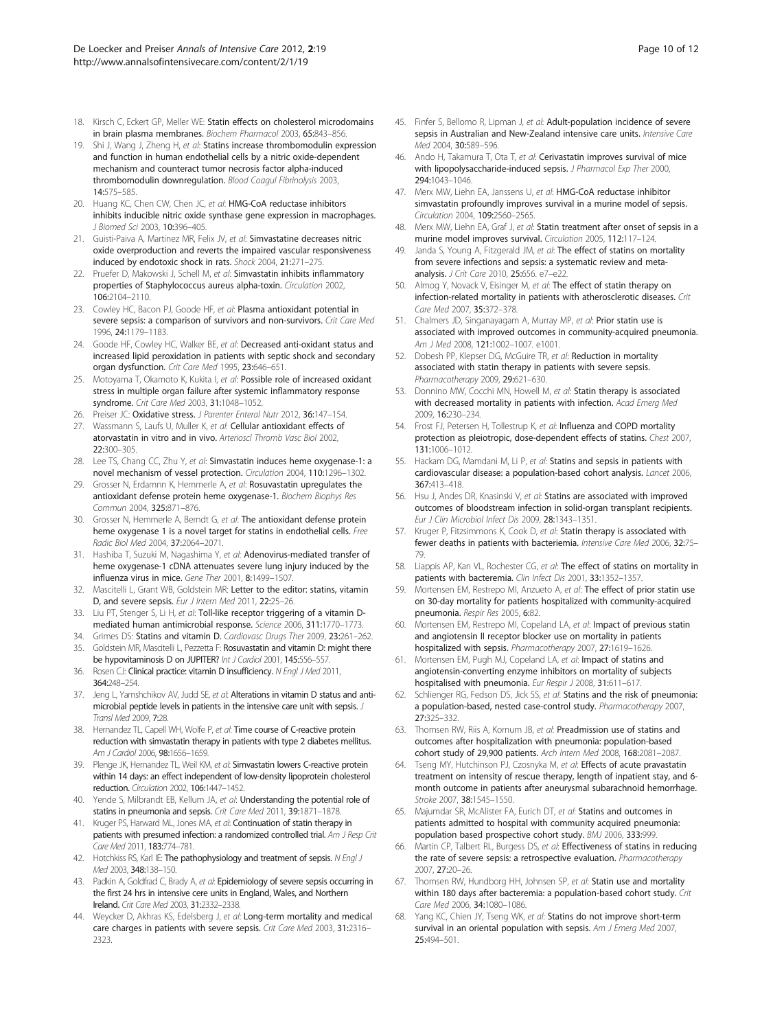- <span id="page-9-0"></span>18. Kirsch C, Eckert GP, Meller WE: Statin effects on cholesterol microdomains in brain plasma membranes. Biochem Pharmacol 2003, 65:843–856.
- 19. Shi J, Wang J, Zheng H, et al: Statins increase thrombomodulin expression and function in human endothelial cells by a nitric oxide-dependent mechanism and counteract tumor necrosis factor alpha-induced thrombomodulin downregulation. Blood Coagul Fibrinolysis 2003, 14:575–585.
- 20. Huang KC, Chen CW, Chen JC, et al: HMG-CoA reductase inhibitors inhibits inducible nitric oxide synthase gene expression in macrophages. J Biomed Sci 2003, 10:396–405.
- 21. Guisti-Paiva A, Martinez MR, Felix JV, et al: Simvastatine decreases nitric oxide overproduction and reverts the impaired vascular responsiveness induced by endotoxic shock in rats. Shock 2004, 21:271–275.
- 22. Pruefer D, Makowski J, Schell M, et al: Simvastatin inhibits inflammatory properties of Staphylococcus aureus alpha-toxin. Circulation 2002, 106:2104–2110.
- 23. Cowley HC, Bacon PJ, Goode HF, et al: Plasma antioxidant potential in severe sepsis: a comparison of survivors and non-survivors. Crit Care Med 1996, 24:1179–1183.
- 24. Goode HF, Cowley HC, Walker BE, et al: Decreased anti-oxidant status and increased lipid peroxidation in patients with septic shock and secondary organ dysfunction. Crit Care Med 1995, 23:646–651.
- 25. Motoyama T, Okamoto K, Kukita I, et al: Possible role of increased oxidant stress in multiple organ failure after systemic inflammatory response syndrome. Crit Care Med 2003, 31:1048–1052.
- 26. Preiser JC: Oxidative stress. J Parenter Enteral Nutr 2012, 36:147-154.
- 27. Wassmann S, Laufs U, Muller K, et al: Cellular antioxidant effects of atorvastatin in vitro and in vivo. Arterioscl Thromb Vasc Biol 2002, 22:300–305.
- 28. Lee TS, Chang CC, Zhu Y, et al: Simvastatin induces heme oxygenase-1: a novel mechanism of vessel protection. Circulation 2004, 110:1296–1302.
- 29. Grosser N, Erdamnn K, Hemmerle A, et al: Rosuvastatin upregulates the antioxidant defense protein heme oxygenase-1. Biochem Biophys Res Commun 2004, 325:871–876.
- 30. Grosser N, Hemmerle A, Berndt G, et al: The antioxidant defense protein heme oxygenase 1 is a novel target for statins in endothelial cells. Free Radic Biol Med 2004, 37:2064–2071.
- 31. Hashiba T, Suzuki M, Nagashima Y, et al: Adenovirus-mediated transfer of heme oxygenase-1 cDNA attenuates severe lung injury induced by the influenza virus in mice. Gene Ther 2001, 8:1499–1507.
- 32. Mascitelli L, Grant WB, Goldstein MR: Letter to the editor: statins, vitamin D, and severe sepsis. Eur J Intern Med 2011, 22:25-26.
- 33. Liu PT, Stenger S, Li H, et al: Toll-like receptor triggering of a vitamin Dmediated human antimicrobial response. Science 2006, 311:1770–1773.
- 34. Grimes DS: Statins and vitamin D. Cardiovasc Drugs Ther 2009, 23:261–262. 35. Goldstein MR, Mascitelli L, Pezzetta F: Rosuvastatin and vitamin D: might there
- be hypovitaminosis D on JUPITER? Int J Cardiol 2001, 145:556-55 36. Rosen CJ: Clinical practice: vitamin D insufficiency. N Engl J Med 2011, 364:248–254.
- 37. Jeng L, Yamshchikov AV, Judd SE, et al: Alterations in vitamin D status and antimicrobial peptide levels in patients in the intensive care unit with sepsis. J Transl Med 2009, 7:28.
- 38. Hernandez TL, Capell WH, Wolfe P, et al: Time course of C-reactive protein reduction with simvastatin therapy in patients with type 2 diabetes mellitus. Am J Cardiol 2006, 98:1656-1659.
- 39. Plenge JK, Hernandez TL, Weil KM, et al: Simvastatin lowers C-reactive protein within 14 days: an effect independent of low-density lipoprotein cholesterol reduction. Circulation 2002, 106:1447–1452.
- 40. Yende S, Milbrandt EB, Kellum JA, et al: Understanding the potential role of statins in pneumonia and sepsis. Crit Care Med 2011, 39:1871–1878.
- 41. Kruger PS, Harward ML, Jones MA, et al: Continuation of statin therapy in patients with presumed infection: a randomized controlled trial. Am J Resp Crit Care Med 2011, 183:774-781.
- 42. Hotchkiss RS, Karl IE: The pathophysiology and treatment of sepsis. N Engl J Med 2003, 348:138–150.
- 43. Padkin A, Goldfrad C, Brady A, et al: Epidemiology of severe sepsis occurring in the first 24 hrs in intensive cere units in England, Wales, and Northern Ireland. Crit Care Med 2003, 31:2332–2338.
- 44. Weycker D, Akhras KS, Edelsberg J, et al: Long-term mortality and medical care charges in patients with severe sepsis. Crit Care Med 2003, 31:2316– 2323.
- 45. Finfer S, Bellomo R, Lipman J, et al: Adult-population incidence of severe sepsis in Australian and New-Zealand intensive care units. Intensive Care Med 2004, 30:589–596.
- 46. Ando H, Takamura T, Ota T, et al: Cerivastatin improves survival of mice with lipopolysaccharide-induced sepsis. J Pharmacol Exp Ther 2000, 294:1043–1046.
- 47. Merx MW, Liehn EA, Janssens U, et al: HMG-CoA reductase inhibitor simvastatin profoundly improves survival in a murine model of sepsis. Circulation 2004, 109:2560–2565.
- 48. Merx MW, Liehn EA, Graf J, et al: Statin treatment after onset of sepsis in a murine model improves survival. Circulation 2005, 112:117–124.
- 49. Janda S, Young A, Fitzgerald JM, et al: The effect of statins on mortality from severe infections and sepsis: a systematic review and metaanalysis. J Crit Care 2010, 25:656. e7–e22.
- 50. Almog Y, Novack V, Eisinger M, et al: The effect of statin therapy on infection-related mortality in patients with atherosclerotic diseases. Crit Care Med 2007, 35:372–378.
- 51. Chalmers JD, Singanayagam A, Murray MP, et al: Prior statin use is associated with improved outcomes in community-acquired pneumonia. Am J Med 2008, 121:1002–1007. e1001.
- 52. Dobesh PP, Klepser DG, McGuire TR, et al: Reduction in mortality associated with statin therapy in patients with severe sepsis. Pharmacotherapy 2009, 29:621–630.
- 53. Donnino MW, Cocchi MN, Howell M, et al: Statin therapy is associated with decreased mortality in patients with infection. Acad Emerg Med 2009, 16:230–234.
- 54. Frost FJ, Petersen H, Tollestrup K, et al: Influenza and COPD mortality protection as pleiotropic, dose-dependent effects of statins. Chest 2007, 131:1006–1012.
- 55. Hackam DG, Mamdani M, Li P, et al: Statins and sepsis in patients with cardiovascular disease: a population-based cohort analysis. Lancet 2006, 367:413–418.
- 56. Hsu J, Andes DR, Knasinski V, et al: Statins are associated with improved outcomes of bloodstream infection in solid-organ transplant recipients. Eur J Clin Microbiol Infect Dis 2009, 28:1343–1351.
- 57. Kruger P, Fitzsimmons K, Cook D, et al: Statin therapy is associated with fewer deaths in patients with bacteriemia. Intensive Care Med 2006, 32:75– 79.
- 58. Liappis AP, Kan VL, Rochester CG, et al: The effect of statins on mortality in patients with bacteremia. Clin Infect Dis 2001, 33:1352-1357
- 59. Mortensen EM, Restrepo MI, Anzueto A, et al: The effect of prior statin use on 30-day mortality for patients hospitalized with community-acquired pneumonia. Respir Res 2005, 6:82.
- Mortensen EM, Restrepo MI, Copeland LA, et al: Impact of previous statin and angiotensin II receptor blocker use on mortality in patients hospitalized with sepsis. Pharmacotherapy 2007, 27:1619–1626.
- 61. Mortensen EM, Pugh MJ, Copeland LA, et al: Impact of statins and angiotensin-converting enzyme inhibitors on mortality of subjects hospitalised with pneumonia. Eur Respir J 2008, 31:611-617.
- 62. Schlienger RG, Fedson DS, Jick SS, et al: Statins and the risk of pneumonia: a population-based, nested case-control study. Pharmacotherapy 2007, 27:325–332.
- 63. Thomsen RW, Riis A, Kornum JB, et al: Preadmission use of statins and outcomes after hospitalization with pneumonia: population-based cohort study of 29,900 patients. Arch Intern Med 2008, 168:2081–2087.
- 64. Tseng MY, Hutchinson PJ, Czosnyka M, et al: Effects of acute pravastatin treatment on intensity of rescue therapy, length of inpatient stay, and 6 month outcome in patients after aneurysmal subarachnoid hemorrhage. Stroke 2007, 38:1545–1550.
- 65. Majumdar SR, McAlister FA, Eurich DT, et al: Statins and outcomes in patients admitted to hospital with community acquired pneumonia: population based prospective cohort study. BMJ 2006, 333:999.
- 66. Martin CP, Talbert RL, Burgess DS, et al: Effectiveness of statins in reducing the rate of severe sepsis: a retrospective evaluation. Pharmacotherapy 2007, 27:20–26.
- 67. Thomsen RW, Hundborg HH, Johnsen SP, et al: Statin use and mortality within 180 days after bacteremia: a population-based cohort study. Crit Care Med 2006, 34:1080-1086.
- 68. Yang KC, Chien JY, Tseng WK, et al: Statins do not improve short-term survival in an oriental population with sepsis. Am J Emerg Med 2007, 25:494–501.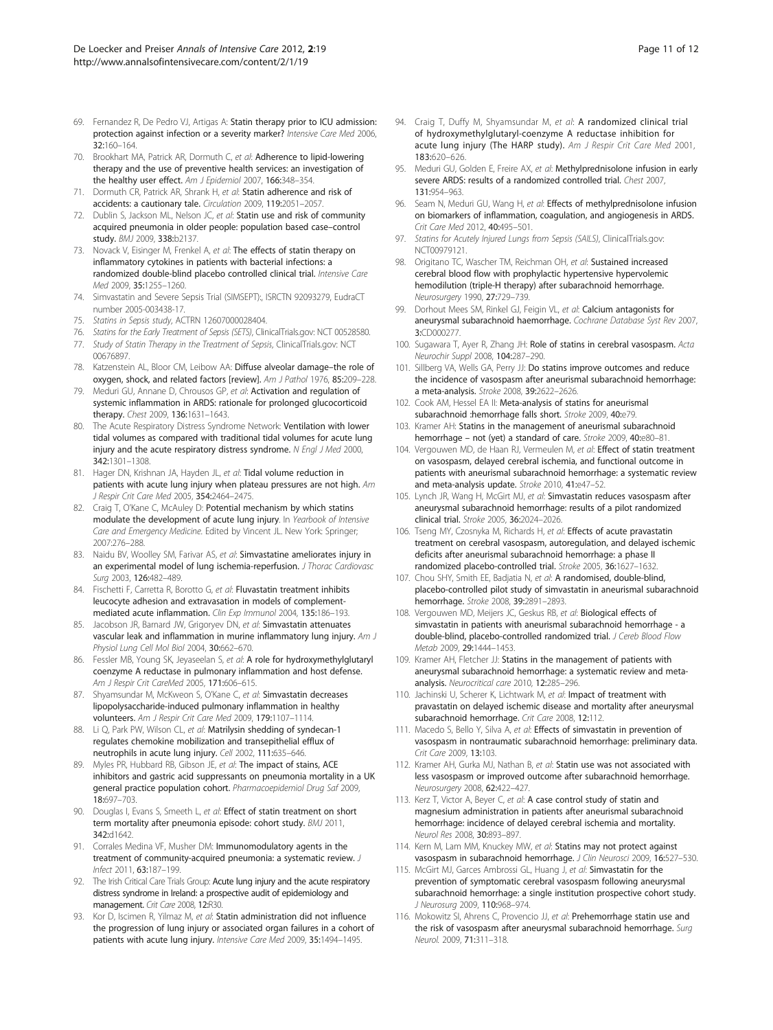- <span id="page-10-0"></span>69. Fernandez R, De Pedro VJ, Artigas A: Statin therapy prior to ICU admission: protection against infection or a severity marker? Intensive Care Med 2006, 32:160–164.
- 70. Brookhart MA, Patrick AR, Dormuth C, et al: Adherence to lipid-lowering therapy and the use of preventive health services: an investigation of the healthy user effect. Am J Epidemiol 2007, 166:348-354.
- 71. Dormuth CR, Patrick AR, Shrank H, et al: Statin adherence and risk of accidents: a cautionary tale. Circulation 2009, 119:2051–2057.
- 72. Dublin S, Jackson ML, Nelson JC, et al: Statin use and risk of community acquired pneumonia in older people: population based case–control study. BMJ 2009, 338:b2137.
- 73. Novack V, Eisinger M, Frenkel A, et al: The effects of statin therapy on inflammatory cytokines in patients with bacterial infections: a randomized double-blind placebo controlled clinical trial. Intensive Care Med 2009, 35:1255–1260.
- 74. Simvastatin and Severe Sepsis Trial (SIMSEPT):, ISRCTN 92093279, EudraCT number 2005-003438-17.
- 75. Statins in Sepsis study, ACTRN 12607000028404.
- 76. Statins for the Early Treatment of Sepsis (SETS), ClinicalTrials.gov: NCT 00528580.
- 77. Study of Statin Therapy in the Treatment of Sepsis, ClinicalTrials.gov: NCT 00676897.
- 78. Katzenstein AL, Bloor CM, Leibow AA: Diffuse alveolar damage-the role of oxygen, shock, and related factors [review]. Am J Pathol 1976, 85:209–228.
- 79. Meduri GU, Annane D, Chrousos GP, et al: Activation and regulation of systemic inflammation in ARDS: rationale for prolonged glucocorticoid therapy. Chest 2009, 136:1631–1643.
- 80. The Acute Respiratory Distress Syndrome Network: Ventilation with lower tidal volumes as compared with traditional tidal volumes for acute lung injury and the acute respiratory distress syndrome. N Engl J Med 2000, 342:1301–1308.
- 81. Hager DN, Krishnan JA, Hayden JL, et al: Tidal volume reduction in patients with acute lung injury when plateau pressures are not high. Am J Respir Crit Care Med 2005, 354:2464–2475.
- 82. Craig T, O'Kane C, McAuley D: Potential mechanism by which statins modulate the development of acute lung injury. In Yearbook of Intensive Care and Emergency Medicine. Edited by Vincent JL. New York: Springer; 2007:276–288.
- 83. Naidu BV, Woolley SM, Farivar AS, et al: Simvastatine ameliorates injury in an experimental model of lung ischemia-reperfusion. J Thorac Cardiovasc Surg 2003, 126:482–489.
- 84. Fischetti F, Carretta R, Borotto G, et al: Fluvastatin treatment inhibits leucocyte adhesion and extravasation in models of complementmediated acute inflammation. Clin Exp Immunol 2004, 135:186–193.
- 85. Jacobson JR, Barnard JW, Grigoryev DN, et al: Simvastatin attenuates vascular leak and inflammation in murine inflammatory lung injury. Am J Physiol Lung Cell Mol Biol 2004, 30:662-670.
- 86. Fessler MB, Young SK, Jeyaseelan S, et al: A role for hydroxymethylglutaryl coenzyme A reductase in pulmonary inflammation and host defense. Am J Respir Crit CareMed 2005, 171:606–615.
- 87. Shyamsundar M, McKweon S, O'Kane C, et al: Simvastatin decreases lipopolysaccharide-induced pulmonary inflammation in healthy volunteers. Am J Respir Crit Care Med 2009, 179:1107–1114.
- 88. Li Q, Park PW, Wilson CL, et al: Matrilysin shedding of syndecan-1 regulates chemokine mobilization and transepithelial efflux of neutrophils in acute lung injury. Cell 2002, 111:635–646.
- 89. Myles PR, Hubbard RB, Gibson JE, et al: The impact of stains, ACE inhibitors and gastric acid suppressants on pneumonia mortality in a UK general practice population cohort. Pharmacoepidemiol Drug Saf 2009, 18:697–703.
- 90. Douglas I, Evans S, Smeeth L, et al: Effect of statin treatment on short term mortality after pneumonia episode: cohort study. BMJ 2011, 342:d1642.
- 91. Corrales Medina VF, Musher DM: Immunomodulatory agents in the treatment of community-acquired pneumonia: a systematic review. J Infect 2011, 63:187–199.
- 92. The Irish Critical Care Trials Group: Acute lung injury and the acute respiratory distress syndrome in Ireland: a prospective audit of epidemiology and management. Crit Care 2008, 12:R30.
- 93. Kor D, Iscimen R, Yilmaz M, et al: Statin administration did not influence the progression of lung injury or associated organ failures in a cohort of patients with acute lung injury. Intensive Care Med 2009, 35:1494–1495.
- 94. Craig T, Duffy M, Shyamsundar M, et al: A randomized clinical trial of hydroxymethylglutaryl-coenzyme A reductase inhibition for acute lung injury (The HARP study). Am J Respir Crit Care Med 2001, 183:620–626.
- 95. Meduri GU, Golden E, Freire AX, et al: Methylprednisolone infusion in early severe ARDS: results of a randomized controlled trial. Chest 2007, 131:954–963.
- 96. Seam N, Meduri GU, Wang H, et al: Effects of methylprednisolone infusion on biomarkers of inflammation, coagulation, and angiogenesis in ARDS. Crit Care Med 2012, 40:495–501.
- 97. Statins for Acutely Injured Lungs from Sepsis (SAILS), ClinicalTrials.gov: NCT00979121.
- 98. Origitano TC, Wascher TM, Reichman OH, et al: Sustained increased cerebral blood flow with prophylactic hypertensive hypervolemic hemodilution (triple-H therapy) after subarachnoid hemorrhage. Neurosurgery 1990, 27:729–739.
- 99. Dorhout Mees SM, Rinkel GJ, Feigin VL, et al: Calcium antagonists for aneurysmal subarachnoid haemorrhage. Cochrane Database Syst Rev 2007, 3:CD000277.
- 100. Sugawara T, Ayer R, Zhang JH: Role of statins in cerebral vasospasm, Acta Neurochir Suppl 2008, 104:287–290.
- 101. Sillberg VA, Wells GA, Perry JJ: Do statins improve outcomes and reduce the incidence of vasospasm after aneurismal subarachnoid hemorrhage: a meta-analysis. Stroke 2008, 39:2622–2626.
- 102. Cook AM, Hessel EA II: Meta-analysis of statins for aneurismal subarachnoid :hemorrhage falls short. Stroke 2009, 40:e79.
- 103. Kramer AH: Statins in the management of aneurismal subarachnoid hemorrhage – not (yet) a standard of care. Stroke 2009, 40:e80–81.
- 104. Vergouwen MD, de Haan RJ, Vermeulen M, et al: Effect of statin treatment on vasospasm, delayed cerebral ischemia, and functional outcome in patients with aneurismal subarachnoid hemorrhage: a systematic review and meta-analysis update. Stroke 2010, 41:e47–52.
- 105. Lynch JR, Wang H, McGirt MJ, et al: Simvastatin reduces vasospasm after aneurysmal subarachnoid hemorrhage: results of a pilot randomized clinical trial. Stroke 2005, 36:2024–2026.
- 106. Tseng MY, Czosnyka M, Richards H, et al: Effects of acute pravastatin treatment on cerebral vasospasm, autoregulation, and delayed ischemic deficits after aneurismal subarachnoid hemorrhage: a phase II randomized placebo-controlled trial. Stroke 2005, 36:1627–1632.
- 107. Chou SHY, Smith FF, Badiatia N, et al: A randomised, double-blind, placebo-controlled pilot study of simvastatin in aneurismal subarachnoid hemorrhage. Stroke 2008, 39:2891–2893.
- 108. Vergouwen MD, Meijers JC, Geskus RB, et al: Biological effects of simvastatin in patients with aneurismal subarachnoid hemorrhage - a double-blind, placebo-controlled randomized trial. J Cereb Blood Flow Metab 2009, 29:1444–1453.
- 109. Kramer AH, Fletcher JJ: Statins in the management of patients with aneurysmal subarachnoid hemorrhage: a systematic review and metaanalysis. Neurocritical care 2010, 12:285–296.
- 110. Jachinski U, Scherer K, Lichtwark M, et al: Impact of treatment with pravastatin on delayed ischemic disease and mortality after aneurysmal subarachnoid hemorrhage. Crit Care 2008, 12:112
- 111. Macedo S, Bello Y, Silva A, et al: Effects of simvastatin in prevention of vasospasm in nontraumatic subarachnoid hemorrhage: preliminary data. Crit Care 2009, 13:103.
- 112. Kramer AH, Gurka MJ, Nathan B, et al: Statin use was not associated with less vasospasm or improved outcome after subarachnoid hemorrhage. Neurosurgery 2008, 62:422-427
- 113. Kerz T, Victor A, Beyer C, et al: A case control study of statin and magnesium administration in patients after aneurismal subarachnoid hemorrhage: incidence of delayed cerebral ischemia and mortality. Neurol Res 2008, 30:893–897.
- 114. Kern M, Lam MM, Knuckey MW, et al: Statins may not protect against vasospasm in subarachnoid hemorrhage. J Clin Neurosci 2009, 16:527-530.
- 115. McGirt MJ, Garces Ambrossi GL, Huang J, et al: Simvastatin for the prevention of symptomatic cerebral vasospasm following aneurysmal subarachnoid hemorrhage: a single institution prospective cohort study. J Neurosurg 2009, 110:968-974.
- 116. Mokowitz SI, Ahrens C, Provencio JJ, et al: Prehemorrhage statin use and the risk of vasospasm after aneurysmal subarachnoid hemorrhage. Surg Neurol. 2009, 71:311–318.